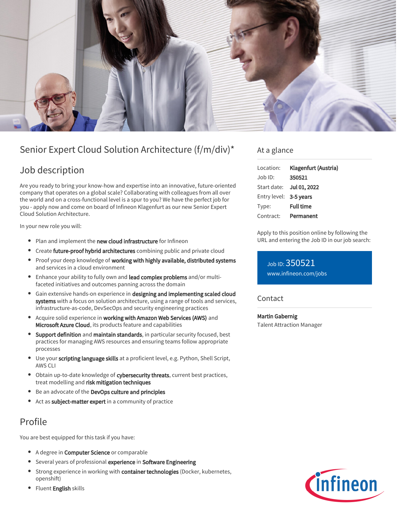

# Senior Expert Cloud Solution Architecture (f/m/div)\*

### Job description

Are you ready to bring your know-how and expertise into an innovative, future-oriented company that operates on a global scale? Collaborating with colleagues from all over the world and on a cross-functional level is a spur to you? We have the perfect job for you - apply now and come on board of Infineon Klagenfurt as our new Senior Expert Cloud Solution Architecture.

In your new role you will:

- Plan and implement the new cloud infrastructure for Infineon
- Create future-proof hybrid architectures combining public and private cloud
- Proof your deep knowledge of working with highly available, distributed systems and services in a cloud environment
- **Enhance your ability to fully own and lead complex problems** and/or multifaceted initiatives and outcomes panning across the domain
- **•** Gain extensive hands-on experience in designing and implementing scaled cloud systems with a focus on solution architecture, using a range of tools and services, infrastructure-as-code, DevSecOps and security engineering practices
- Acquire solid experience in working with Amazon Web Services (AWS) and Microsoft Azure Cloud, its products feature and capabilities
- **Support definition** and maintain standards, in particular security focused, best practices for managing AWS resources and ensuring teams follow appropriate processes
- **Use your scripting language skills** at a proficient level, e.g. Python, Shell Script, AWS CLI
- Obtain up-to-date knowledge of cybersecurity threats, current best practices, treat modelling and risk mitigation techniques
- Be an advocate of the DevOps culture and principles
- Act as subject-matter expert in a community of practice

## Profile

You are best equipped for this task if you have:

- A degree in **Computer Science** or comparable
- **•** Several years of professional experience in Software Engineering
- **Strong experience in working with container technologies (Docker, kubernetes,** openshift)
- Fluent English skills

### At a glance

| Location:              | Klagenfurt (Austria)     |
|------------------------|--------------------------|
| Job ID:                | 350521                   |
|                        | Start date: Jul 01, 2022 |
| Entry level: 3-5 years |                          |
| Type:                  | <b>Full time</b>         |
| Contract:              | Permanent                |

Apply to this position online by following the URL and entering the Job ID in our job search:

Job ID: 350521 [www.infineon.com/jobs](https://www.infineon.com/jobs)

Contact

Martin Gabernig Talent Attraction Manager